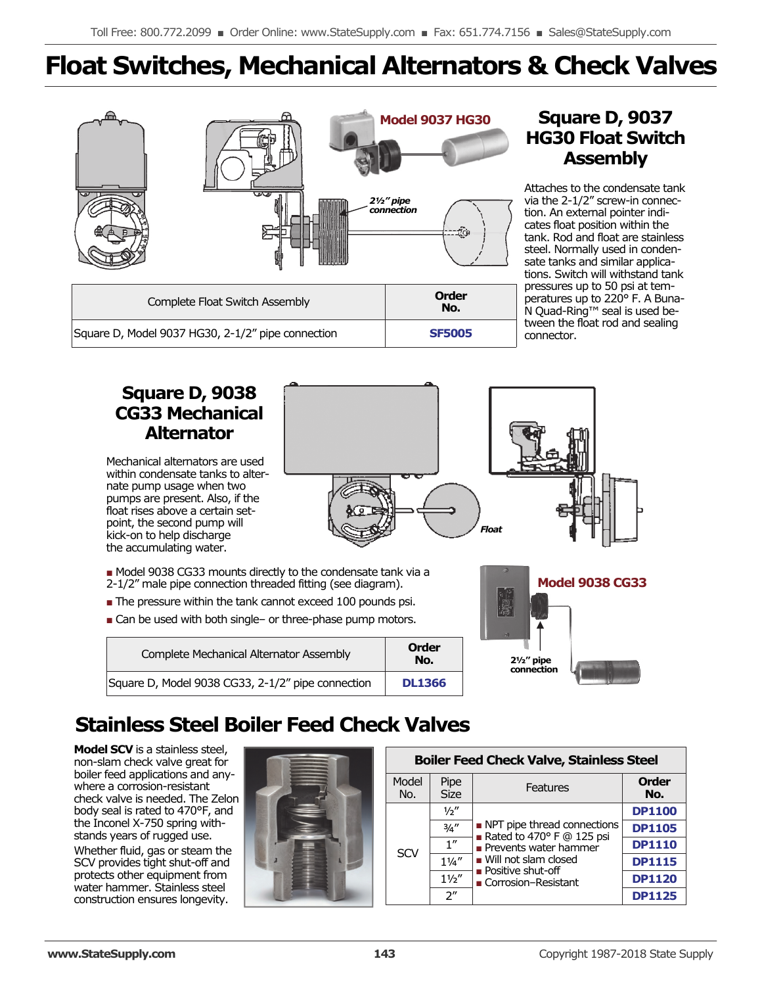# **Float Switches, Mechanical Alternators & Check Valves**



## **Square D, 9037 HG30 Float Switch Assembly**

Attaches to the condensate tank via the 2-1/2" screw-in connection. An external pointer indicates float position within the tank. Rod and float are stainless steel. Normally used in condensate tanks and similar applications. Switch will withstand tank pressures up to 50 psi at temperatures up to 220° F. A Buna-N Quad-Ring™ seal is used between the float rod and sealing connector.

#### **Square D, 9038 CG33 Mechanical Alternator**  Mechanical alternators are used within condensate tanks to alternate pump usage when two pumps are present. Also, if the float rises above a certain setpoint, the second pump will kick-on to help discharge the accumulating water. ■ Model 9038 CG33 mounts directly to the condensate tank via a 2-1/2" male pipe connection threaded fitting (see diagram). ■ The pressure within the tank cannot exceed 100 pounds psi. ■ Can be used with both single- or three-phase pump motors. *Float*

| Complete Mechanical Alternator Assembly           | Order<br>No.  |
|---------------------------------------------------|---------------|
| Square D, Model 9038 CG33, 2-1/2" pipe connection | <b>DL1366</b> |



## **Stainless Steel Boiler Feed Check Valves**

**Model SCV** is a stainless steel, non-slam check valve great for boiler feed applications and anywhere a corrosion-resistant check valve is needed. The Zelon body seal is rated to 470°F, and the Inconel X-750 spring withstands years of rugged use.

Whether fluid, gas or steam the SCV provides tight shut-off and protects other equipment from water hammer. Stainless steel construction ensures longevity.



| <b>Boiler Feed Check Valve, Stainless Steel</b> |                     |                                                                                              |                     |  |  |  |  |  |
|-------------------------------------------------|---------------------|----------------------------------------------------------------------------------------------|---------------------|--|--|--|--|--|
| Model<br>No.                                    | Pipe<br><b>Size</b> | Features                                                                                     | <b>Order</b><br>No. |  |  |  |  |  |
|                                                 | 1/2''               | • NPT pipe thread connections<br>Rated to 470 $\degree$ F @ 125 psi<br>Prevents water hammer | <b>DP1100</b>       |  |  |  |  |  |
|                                                 | 3/4''               |                                                                                              | <b>DP1105</b>       |  |  |  |  |  |
| SCV                                             | $\overline{1}$ "    |                                                                                              | <b>DP1110</b>       |  |  |  |  |  |
|                                                 | $1\frac{1}{4}$      | $\blacksquare$ Will not slam closed<br>$\blacksquare$ Positive shut-off                      | <b>DP1115</b>       |  |  |  |  |  |
|                                                 | 11/2"               | ■ Corrosion-Resistant                                                                        | <b>DP1120</b>       |  |  |  |  |  |
|                                                 | $2^{\prime\prime}$  |                                                                                              | <b>DP1125</b>       |  |  |  |  |  |